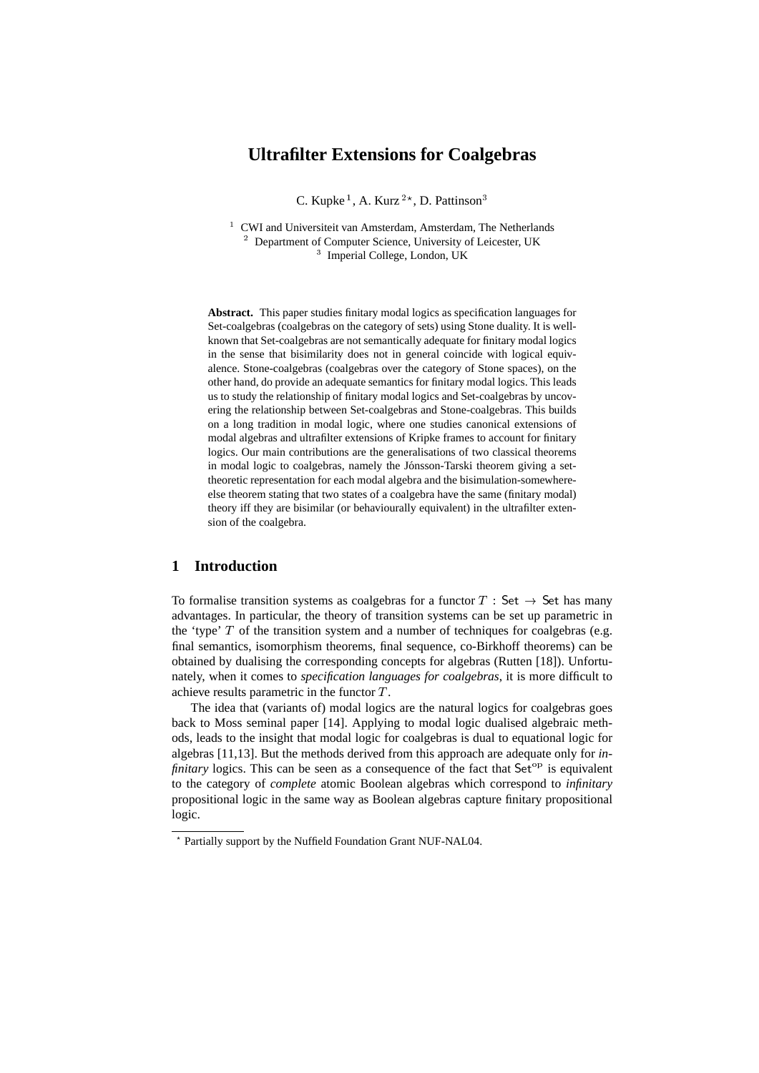# **Ultrafilter Extensions for Coalgebras**

C. Kupke<sup>1</sup>, A. Kurz<sup>2\*</sup>, D. Pattinson<sup>3</sup>

<sup>1</sup> CWI and Universiteit van Amsterdam, Amsterdam, The Netherlands <sup>2</sup> Department of Computer Science, University of Leicester, UK <sup>3</sup> Imperial College, London, UK

**Abstract.** This paper studies finitary modal logics as specification languages for Set-coalgebras (coalgebras on the category of sets) using Stone duality. It is wellknown that Set-coalgebras are not semantically adequate for finitary modal logics in the sense that bisimilarity does not in general coincide with logical equivalence. Stone-coalgebras (coalgebras over the category of Stone spaces), on the other hand, do provide an adequate semantics for finitary modal logics. This leads us to study the relationship of finitary modal logics and Set-coalgebras by uncovering the relationship between Set-coalgebras and Stone-coalgebras. This builds on a long tradition in modal logic, where one studies canonical extensions of modal algebras and ultrafilter extensions of Kripke frames to account for finitary logics. Our main contributions are the generalisations of two classical theorems in modal logic to coalgebras, namely the Jónsson-Tarski theorem giving a settheoretic representation for each modal algebra and the bisimulation-somewhereelse theorem stating that two states of a coalgebra have the same (finitary modal) theory iff they are bisimilar (or behaviourally equivalent) in the ultrafilter extension of the coalgebra.

## **1 Introduction**

To formalise transition systems as coalgebras for a functor  $T : Set \rightarrow Set$  has many advantages. In particular, the theory of transition systems can be set up parametric in the 'type'  $T$  of the transition system and a number of techniques for coalgebras (e.g. final semantics, isomorphism theorems, final sequence, co-Birkhoff theorems) can be obtained by dualising the corresponding concepts for algebras (Rutten [18]). Unfortunately, when it comes to *specification languages for coalgebras*, it is more difficult to achieve results parametric in the functor <sup>T</sup>.

The idea that (variants of) modal logics are the natural logics for coalgebras goes back to Moss seminal paper [14]. Applying to modal logic dualised algebraic methods, leads to the insight that modal logic for coalgebras is dual to equational logic for algebras [11,13]. But the methods derived from this approach are adequate only for *infinitary* logics. This can be seen as a consequence of the fact that Set<sup>op</sup> is equivalent to the category of *complete* atomic Boolean algebras which correspond to *infinitary* propositional logic in the same way as Boolean algebras capture finitary propositional logic.

<sup>?</sup> Partially support by the Nuffield Foundation Grant NUF-NAL04.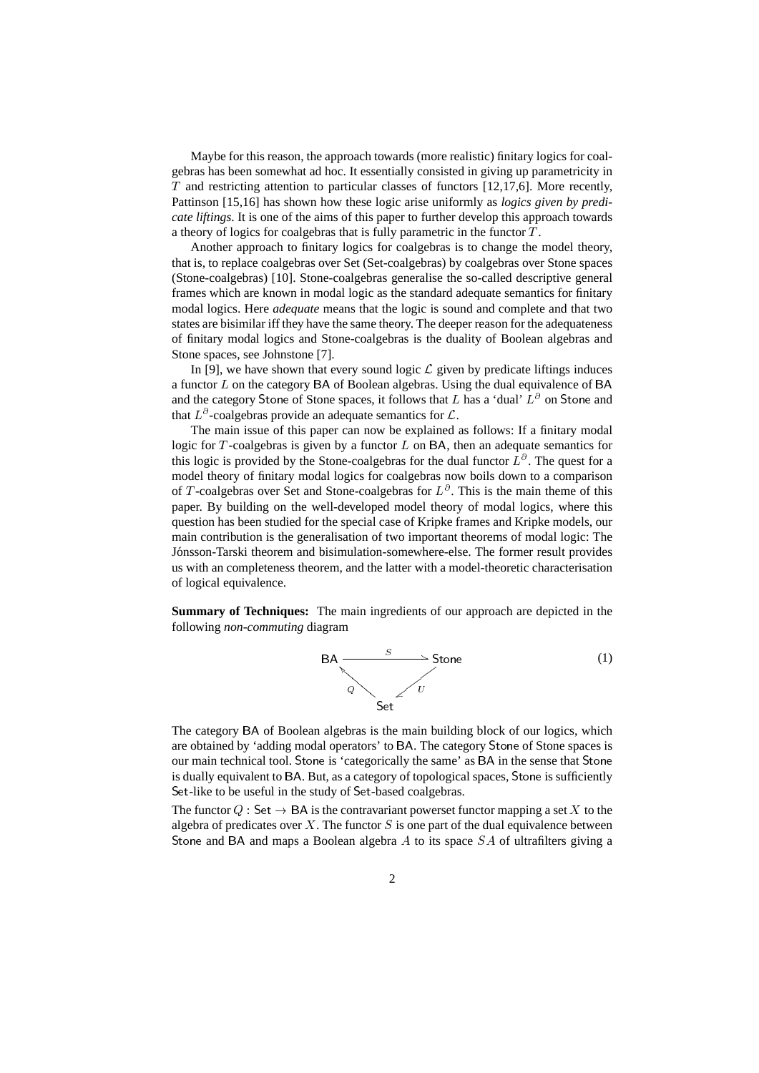Maybe for this reason, the approach towards (more realistic) finitary logics for coalgebras has been somewhat ad hoc. It essentially consisted in giving up parametricity in  $T$  and restricting attention to particular classes of functors [12,17,6]. More recently, Pattinson [15,16] has shown how these logic arise uniformly as *logics given by predicate liftings*. It is one of the aims of this paper to further develop this approach towards a theory of logics for coalgebras that is fully parametric in the functor <sup>T</sup>.

Another approach to finitary logics for coalgebras is to change the model theory, that is, to replace coalgebras over Set (Set-coalgebras) by coalgebras over Stone spaces (Stone-coalgebras) [10]. Stone-coalgebras generalise the so-called descriptive general frames which are known in modal logic as the standard adequate semantics for finitary modal logics. Here *adequate* means that the logic is sound and complete and that two states are bisimilar iff they have the same theory. The deeper reason for the adequateness of finitary modal logics and Stone-coalgebras is the duality of Boolean algebras and Stone spaces, see Johnstone [7].

In [9], we have shown that every sound logic  $\mathcal{L}$  given by predicate liftings induces a functor  $L$  on the category BA of Boolean algebras. Using the dual equivalence of BA and the category Stone of Stone spaces, it follows that L has a 'dual'  $L^{\partial}$  on Stone and that  $L^{\partial}$ -coalgebras provide an adequate semantics for  $\mathcal{L}$ .

The main issue of this paper can now be explained as follows: If a finitary modal logic for  $T$ -coalgebras is given by a functor  $L$  on BA, then an adequate semantics for this logic is provided by the Stone-coalgebras for the dual functor  $L^{\partial}$ . The quest for a model theory of finitary modal logics for coalgebras now boils down to a comparison of T-coalgebras over Set and Stone-coalgebras for  $L^{\partial}$ . This is the main theme of this paper. By building on the well-developed model theory of modal logics, where this question has been studied for the special case of Kripke frames and Kripke models, our main contribution is the generalisation of two important theorems of modal logic: The Jonsson-Tarski theorem and bisimulation-somewhere-else. The former result provides ´ us with an completeness theorem, and the latter with a model-theoretic characterisation of logical equivalence.

**Summary of Techniques:** The main ingredients of our approach are depicted in the following *non-commuting* diagram



The category BA of Boolean algebras is the main building block of our logics, which are obtained by 'adding modal operators' to BA. The category Stone of Stone spaces is our main technical tool. Stone is 'categorically the same' as BA in the sense that Stone is dually equivalent to BA. But, as a category of topological spaces, Stone is sufficiently Set-like to be useful in the study of Set-based coalgebras.

The functor  $Q : Set \to BA$  is the contravariant powerset functor mapping a set X to the algebra of predicates over X. The functor  $S$  is one part of the dual equivalence between Stone and BA and maps a Boolean algebra <sup>A</sup> to its space SA of ultrafilters giving a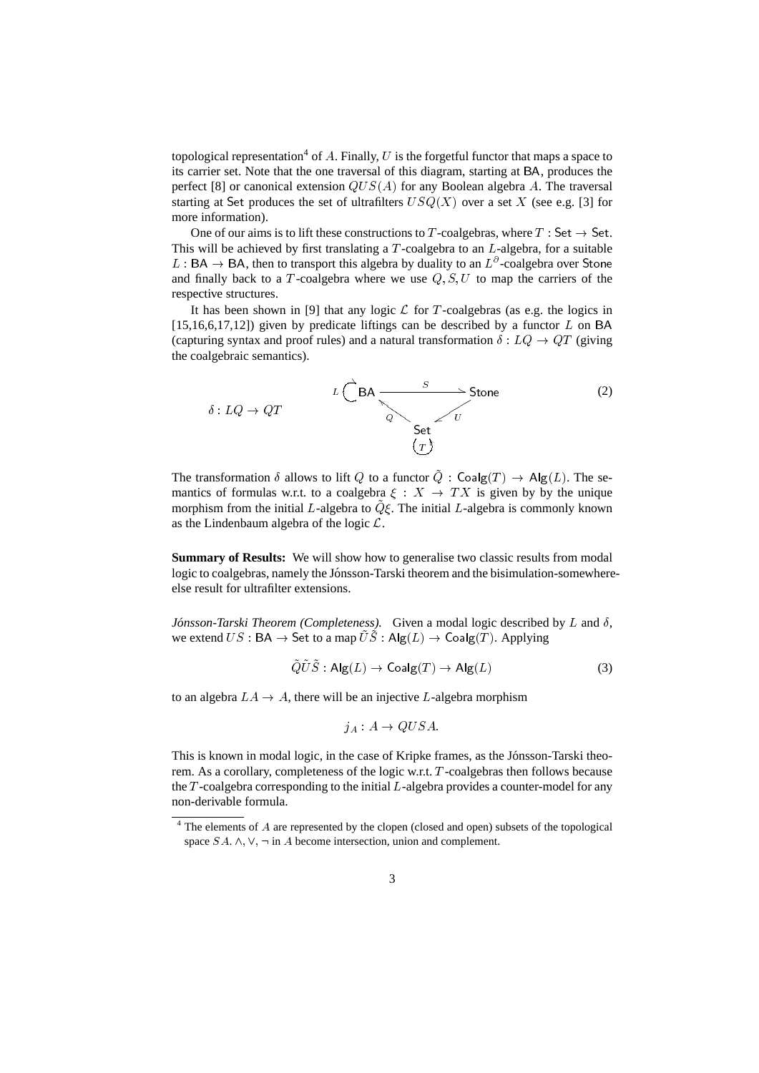topological representation<sup>4</sup> of A. Finally, U is the forgetful functor that maps a space to its carrier set. Note that the one traversal of this diagram, starting at BA, produces the perfect [8] or canonical extension  $QUS(A)$  for any Boolean algebra A. The traversal starting at Set produces the set of ultrafilters  $USQ(X)$  over a set X (see e.g. [3] for more information).

One of our aims is to lift these constructions to T-coalgebras, where  $T : Set \rightarrow Set$ . This will be achieved by first translating a  $T$ -coalgebra to an  $L$ -algebra, for a suitable  $L : BA \rightarrow BA$ , then to transport this algebra by duality to an  $L^{\partial}$ -coalgebra over Stone and finally back to a T-coalgebra where we use  $Q, S, U$  to map the carriers of the respective structures.

It has been shown in [9] that any logic  $\mathcal L$  for T-coalgebras (as e.g. the logics in [15,16,6,17,12]) given by predicate liftings can be described by a functor <sup>L</sup> on BA (capturing syntax and proof rules) and a natural transformation  $\delta : LQ \to QT$  (giving the coalgebraic semantics).

$$
\delta: LQ \to QT
$$
\n
$$
L \overset{L}{\underset{Q}{\bigcup}} BA \xrightarrow{S} Stone
$$
\n
$$
Set
$$
\n
$$
(2)
$$
\n
$$
\underset{L}{\text{Set}}
$$
\n
$$
(r)
$$
\n(2)

The transformation  $\delta$  allows to lift Q to a functor  $\tilde{Q}$  : Coalg(T)  $\rightarrow$  Alg(L). The semantics of formulas w.r.t. to a coalgebra  $\xi : X \rightarrow TX$  is given by by the unique morphism from the initial L-algebra to  $\tilde{Q}\xi$ . The initial L-algebra is commonly known as the Lindenbaum algebra of the logic  $\mathcal{L}$ .

**Summary of Results:** We will show how to generalise two classic results from modal logic to coalgebras, namely the Jónsson-Tarski theorem and the bisimulation-somewhereelse result for ultrafilter extensions.

*Jónsson-Tarski Theorem (Completeness).* Given a modal logic described by  $L$  and  $\delta$ , we extend  $US : BA \rightarrow Set$  to a map  $\tilde{U}\tilde{S} : Alg(L) \rightarrow Coalg(T)$ . Applying

$$
QUS: \text{Alg}(L) \to \text{Coalg}(T) \to \text{Alg}(L)
$$
 (3)

to an algebra  $LA \rightarrow A$ , there will be an injective L-algebra morphism

$$
j_A: A \to QUSA.
$$

This is known in modal logic, in the case of Kripke frames, as the Jónsson-Tarski theorem. As a corollary, completeness of the logic w.r.t. <sup>T</sup>-coalgebras then follows because the  $T$ -coalgebra corresponding to the initial  $L$ -algebra provides a counter-model for any non-derivable formula.

 $4$  The elements of A are represented by the clopen (closed and open) subsets of the topological space  $SA$ .  $\wedge$ ,  $\vee$ ,  $\neg$  in A become intersection, union and complement.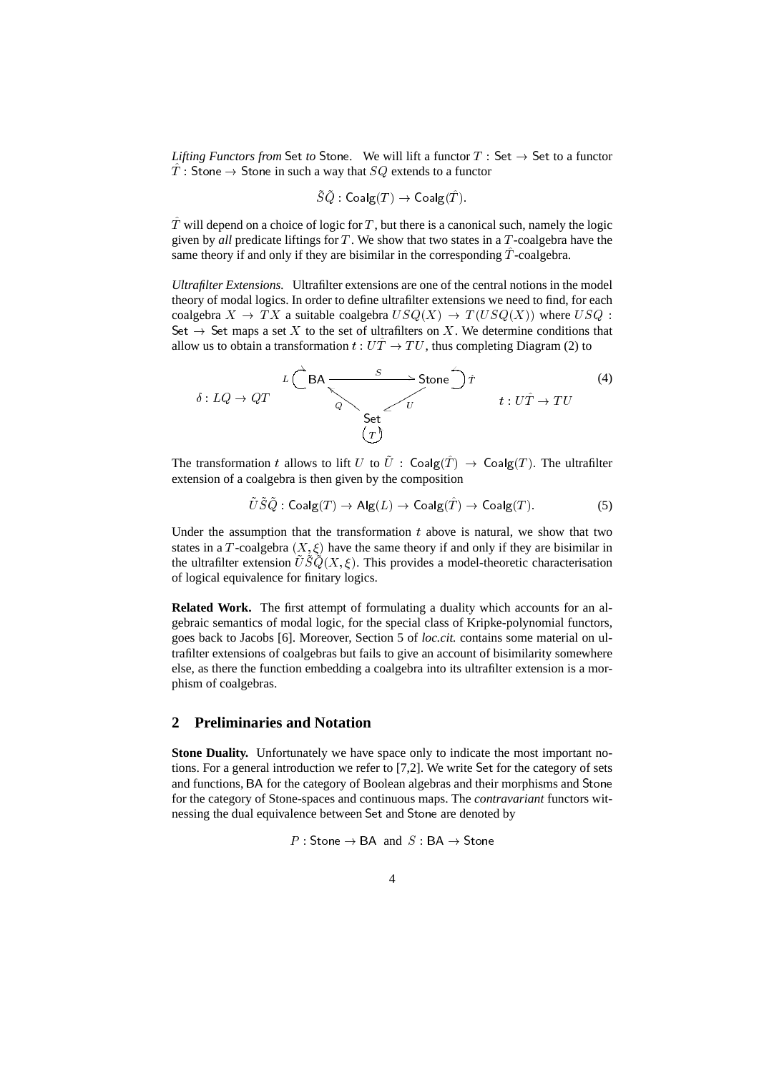*Lifting Functors from* Set *to* Stone. We will lift a functor  $T : Set \rightarrow Set$  to a functor  $\hat{T}$  : Stone  $\rightarrow$  Stone in such a way that  $SQ$  extends to a functor

$$
SQ: \mathsf{Coalg}(T) \to \mathsf{Coalg}(T).
$$

 $\hat{T}$  will depend on a choice of logic for T, but there is a canonical such, namely the logic given by *all* predicate liftings for <sup>T</sup>. We show that two states in a <sup>T</sup>-coalgebra have the same theory if and only if they are bisimilar in the corresponding  $\hat{T}$ -coalgebra.

*Ultrafilter Extensions.* Ultrafilter extensions are one of the central notions in the model theory of modal logics. In order to define ultrafilter extensions we need to find, for each coalgebra  $X \to TX$  a suitable coalgebra  $USQ(X) \to T(USQ(X))$  where  $USQ$ : Set  $\rightarrow$  Set maps a set X to the set of ultrafilters on X. We determine conditions that allow us to obtain a transformation  $t : U\hat{T} \to TU$ , thus completing Diagram (2) to

$$
\delta: LQ \to QT \xrightarrow{L} \xrightarrow{C} BA \xrightarrow{S} \xrightarrow{C} \text{Stone} \xrightarrow{f} \dot{T} \qquad (4)
$$
\n
$$
\underbrace{L} \xrightarrow{C} BA \xrightarrow{U} \underbrace{U} \dot{T} \to TU
$$

The transformation t allows to lift U to  $\tilde{U}$  : Coalg(T)  $\rightarrow$  Coalg(T). The ultrafilter extension of a coalgebra is then given by the composition

$$
\tilde{U}\tilde{S}\tilde{Q} : \mathsf{Coalg}(T) \to \mathsf{Alg}(L) \to \mathsf{Coalg}(\tilde{T}) \to \mathsf{Coalg}(T). \tag{5}
$$

Under the assumption that the transformation  $t$  above is natural, we show that two states in a T-coalgebra  $(X, \xi)$  have the same theory if and only if they are bisimilar in the ultrafilter extension  $\tilde{U}\tilde{S}\tilde{Q}(X,\xi)$ . This provides a model-theoretic characterisation of logical equivalence for finitary logics.

**Related Work.** The first attempt of formulating a duality which accounts for an algebraic semantics of modal logic, for the special class of Kripke-polynomial functors, goes back to Jacobs [6]. Moreover, Section 5 of *loc.cit.* contains some material on ultrafilter extensions of coalgebras but fails to give an account of bisimilarity somewhere else, as there the function embedding a coalgebra into its ultrafilter extension is a morphism of coalgebras.

### **2 Preliminaries and Notation**

**Stone Duality.** Unfortunately we have space only to indicate the most important notions. For a general introduction we refer to [7,2]. We write Set for the category of sets and functions, BA for the category of Boolean algebras and their morphisms and Stone for the category of Stone-spaces and continuous maps. The *contravariant* functors witnessing the dual equivalence between Set and Stone are denoted by

$$
P : \text{Stone} \rightarrow \text{BA} \text{ and } S : \text{BA} \rightarrow \text{Stone}
$$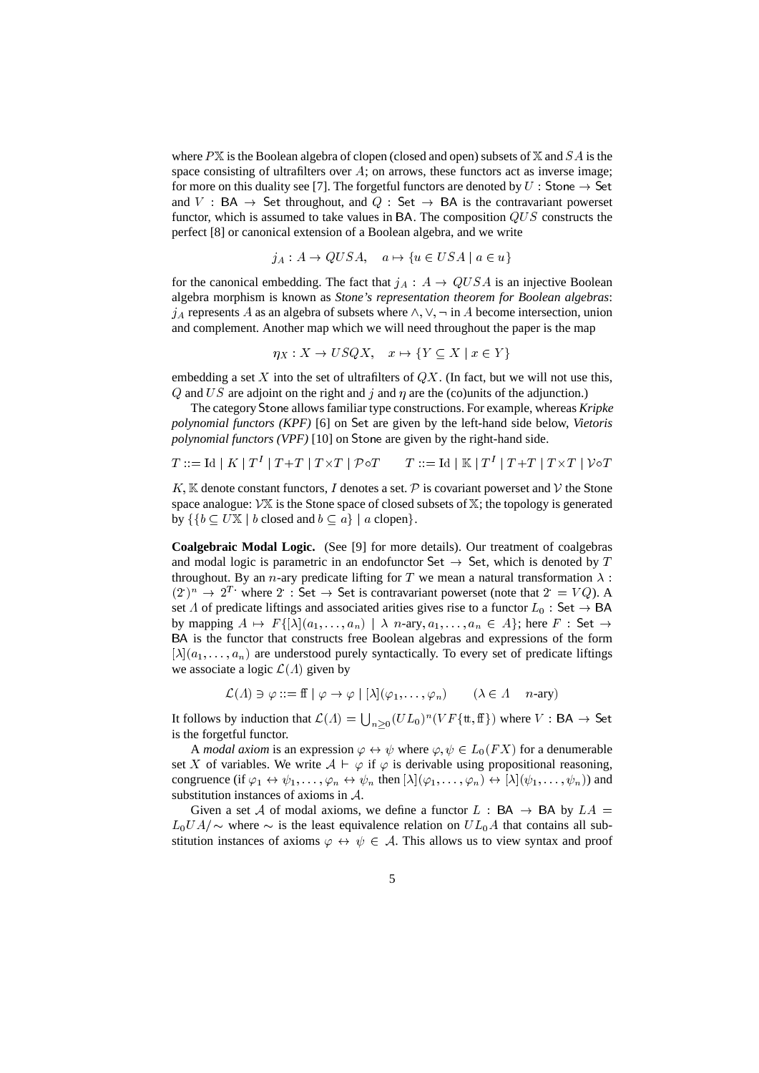where  $PX$  is the Boolean algebra of clopen (closed and open) subsets of X and SA is the space consisting of ultrafilters over  $A$ ; on arrows, these functors act as inverse image; for more on this duality see [7]. The forgetful functors are denoted by  $U:$  Stone  $\rightarrow$  Set and V : BA  $\rightarrow$  Set throughout, and Q : Set  $\rightarrow$  BA is the contravariant powerset functor, which is assumed to take values in BA. The composition  $QUS$  constructs the perfect [8] or canonical extension of a Boolean algebra, and we write

$$
j_A: A \to QUSA, \quad a \mapsto \{u \in USA \mid a \in u\}
$$

for the canonical embedding. The fact that  $j_A : A \rightarrow QUSA$  is an injective Boolean algebra morphism is known as *Stone's representation theorem for Boolean algebras*:  $j_A$  represents A as an algebra of subsets where  $\wedge$ ,  $\vee$ ,  $\neg$  in A become intersection, union and complement. Another map which we will need throughout the paper is the map

$$
\eta_X: X \to USQX, \quad x \mapsto \{Y \subseteq X \mid x \in Y\}
$$

embedding a set X into the set of ultrafilters of  $QX$ . (In fact, but we will not use this, Q and US are adjoint on the right and j and  $\eta$  are the (co)units of the adjunction.)

The category Stone allows familiar type constructions. For example, whereas *Kripke polynomial functors (KPF)* [6] on Set are given by the left-hand side below, *Vietoris polynomial functors (VPF)* [10] on Stone are given by the right-hand side.

$$
T ::= \text{Id} | K | TI | T + T | T \times T | P \circ T \qquad T ::= \text{Id} | K | TI | T + T | T \times T | V \circ T
$$

K, K denote constant functors, I denotes a set. P is covariant powerset and V the Stone space analogue:  $V\mathbb{X}$  is the Stone space of closed subsets of  $\mathbb{X}$ ; the topology is generated by  $\{b \subseteq U\mathbb{X} \mid b \text{ closed and } b \subseteq a\} \mid a \text{ clopen}\}.$ 

**Coalgebraic Modal Logic.** (See [9] for more details). Our treatment of coalgebras and modal logic is parametric in an endofunctor Set  $\rightarrow$  Set, which is denoted by T throughout. By an *n*-ary predicate lifting for T we mean a natural transformation  $\lambda$ :  $(2)^n \rightarrow 2^T$  where 2 : Set  $\rightarrow$  Set is contravariant powerset (note that  $2 = VQ$ ). A set  $\Lambda$  of predicate liftings and associated arities gives rise to a functor  $L_0$  : Set  $\to$  BA by mapping  $A \mapsto F\{[\lambda](a_1, \ldots, a_n) \mid \lambda \in \{n\}}$  ary,  $a_1, \ldots, a_n \in A\}$ ; here  $F : \mathsf{Set} \to$ BA is the functor that constructs free Boolean algebras and expressions of the form  $[\lambda](a_1, \ldots, a_n)$  are understood purely syntactically. To every set of predicate liftings we associate a logic  $\mathcal{L}(\Lambda)$  given by

$$
\mathcal{L}(\Lambda) \ni \varphi ::= \text{ff} \mid \varphi \to \varphi \mid [\lambda](\varphi_1, \dots, \varphi_n) \qquad (\lambda \in \Lambda \quad n\text{-ary})
$$

It follows by induction that  $\mathcal{L}(\Lambda) = \bigcup_{n \geq 0} (UL_0)^n (VF \{ \text{tt}, \text{ff} \})$  where  $V : BA \rightarrow Set$ is the forgetful functor.

A *modal axiom* is an expression  $\varphi \leftrightarrow \psi$  where  $\varphi, \psi \in L_0(FX)$  for a denumerable set X of variables. We write  $A \vdash \varphi$  if  $\varphi$  is derivable using propositional reasoning, congruence (if  $\varphi_1 \leftrightarrow \psi_1, \ldots, \varphi_n \leftrightarrow \psi_n$  then  $[\lambda](\varphi_1, \ldots, \varphi_n) \leftrightarrow [\lambda](\psi_1, \ldots, \psi_n)$ ) and substitution instances of axioms in A.

Given a set A of modal axioms, we define a functor L : BA  $\rightarrow$  BA by LA =  $L_0UA/\sim$  where  $\sim$  is the least equivalence relation on  $UL_0A$  that contains all substitution instances of axioms  $\varphi \leftrightarrow \psi \in A$ . This allows us to view syntax and proof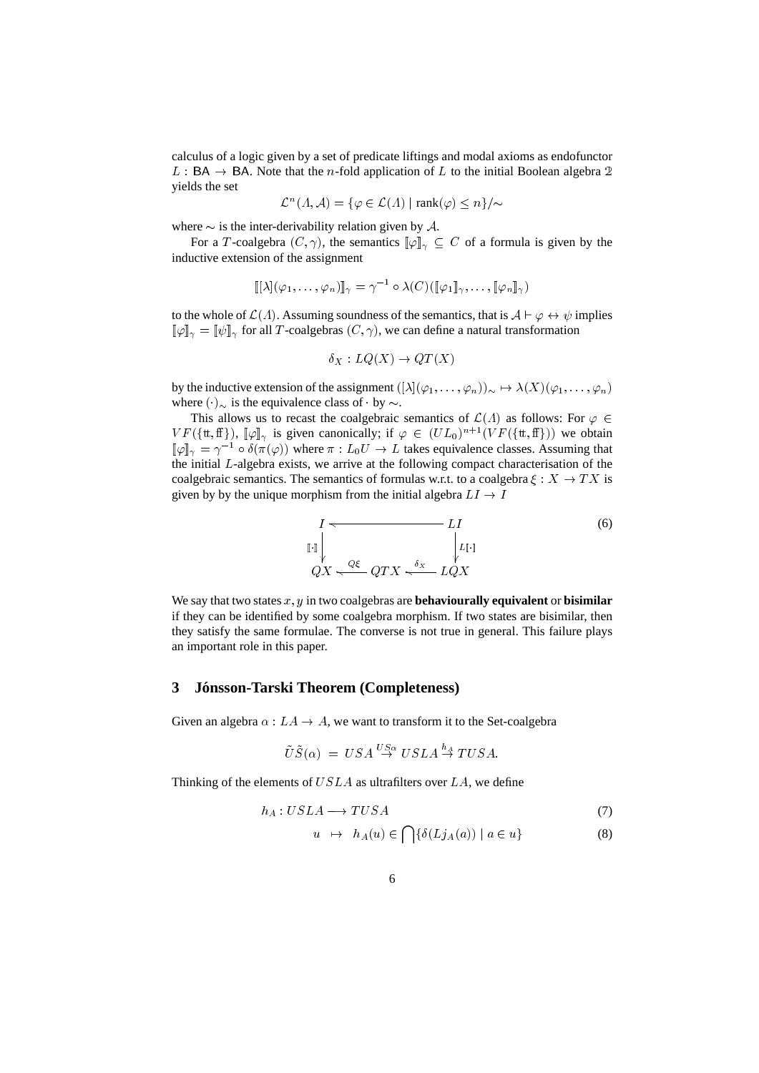calculus of a logic given by a set of predicate liftings and modal axioms as endofunctor  $L : BA \rightarrow BA$ . Note that the *n*-fold application of L to the initial Boolean algebra 2 yields the set

$$
\mathcal{L}^n(\Lambda, \mathcal{A}) = \{ \varphi \in \mathcal{L}(\Lambda) \mid \text{rank}(\varphi) \le n \} / \sim
$$

where  $\sim$  is the inter-derivability relation given by A.

For a T-coalgebra  $(C, \gamma)$ , the semantics  $[\varphi]_{\gamma} \subseteq C$  of a formula is given by the inductive extension of the assignment

$$
[\![\lambda](\varphi_1,\ldots,\varphi_n)]\!]_\gamma = \gamma^{-1} \circ \lambda(C) ([\![\varphi_1]\!]_\gamma,\ldots,[\![\varphi_n]\!]_\gamma)
$$

to the whole of  $\mathcal{L}(\Lambda)$ . Assuming soundness of the semantics, that is  $A \vdash \varphi \leftrightarrow \psi$  implies  $[\![\varphi]\!]_{\gamma} = [\![\psi]\!]_{\gamma}$  for all T-coalgebras  $(C, \gamma)$ , we can define a natural transformation

$$
\delta_X: LQ(X) \to QT(X)
$$

by the inductive extension of the assignment  $([\lambda](\varphi_1,\ldots,\varphi_n))_{\sim} \mapsto \lambda(X)(\varphi_1,\ldots,\varphi_n)$ where  $\left(\cdot\right)_{\sim}$  is the equivalence class of by  $\sim$ .

This allows us to recast the coalgebraic semantics of  $\mathcal{L}(\Lambda)$  as follows: For  $\varphi \in$  $VF(\{\text{t}, \text{ff}\})$ ,  $[\varphi]_{\gamma}$  is given canonically; if  $\varphi \in (UL_0)^{n+1}(VF(\{\text{t}, \text{ff}\}))$  we obtain  $[\![\varphi]\!]_\gamma = \gamma^{-1} \circ \delta(\pi(\varphi))$  where  $\pi : L_0U \to L$  takes equivalence classes. Assuming that the initial <sup>L</sup>-algebra exists, we arrive at the following compact characterisation of the coalgebraic semantics. The semantics of formulas w.r.t. to a coalgebra  $\xi : X \to TX$  is given by by the unique morphism from the initial algebra  $LI \rightarrow I$ 



We say that two states x; y in two coalgebras are **behaviourally equivalent** or **bisimilar** if they can be identified by some coalgebra morphism. If two states are bisimilar, then they satisfy the same formulae. The converse is not true in general. This failure plays an important role in this paper.

#### **3 Jonsson-Tarski Theorem (Completeness) ´**

Given an algebra  $\alpha : LA \to A$ , we want to transform it to the Set-coalgebra

$$
\tilde{U}\tilde{S}(\alpha) = USA \overset{US\alpha}{\rightarrow} USA \overset{h_A}{\rightarrow} TUSA.
$$

Thinking of the elements of  $USLA$  as ultrafilters over  $LA$ , we define

$$
h_A: USLA \longrightarrow TUSA \tag{7}
$$

$$
u \mapsto h_A(u) \in \bigcap \{ \delta(Lj_A(a)) \mid a \in u \}
$$
 (8)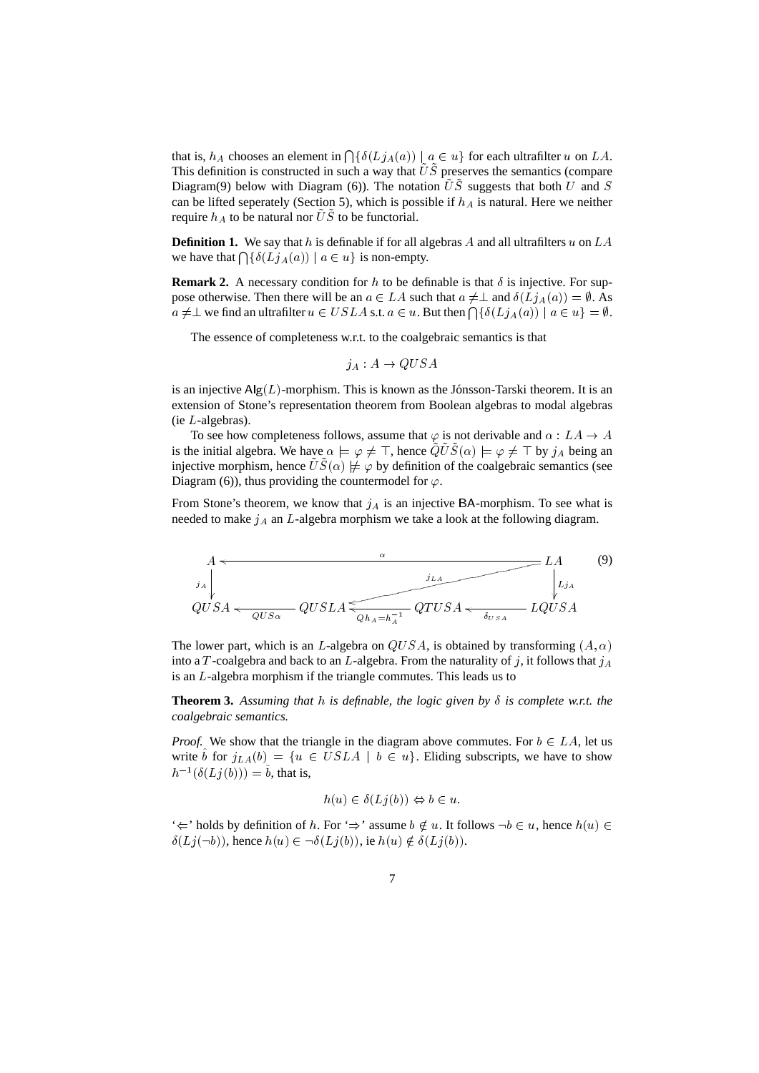that is,  $h_A$  chooses an element in  $\bigcap \{\delta(Lj_A(a)) \mid a \in u\}$  for each ultrafilter u on LA. This definition is constructed in such a way that  $US$  preserves the semantics (compare Diagram(9) below with Diagram (6)). The notation  $\tilde{U}\tilde{S}$  suggests that both U and S can be lifted seperately (Section 5), which is possible if  $h<sub>A</sub>$  is natural. Here we neither require  $h_A$  to be natural nor US to be functorial.

**Definition 1.** We say that  $h$  is definable if for all algebras  $A$  and all ultrafilters  $u$  on  $LA$ we have that  $\bigcap \{ \delta(Lj_A(a)) \mid a \in u \}$  is non-empty.

**Remark 2.** A necessary condition for h to be definable is that  $\delta$  is injective. For suppose otherwise. Then there will be an  $a \in LA$  such that  $a \neq \perp$  and  $\delta(Lj_A(a)) = \emptyset$ . As  $a \neq \perp$  we find an ultrafilter  $u \in USLA$  s.t.  $a \in u$ . But then  $\bigcap \{\delta(Lj_A(a)) \mid a \in u\} = \emptyset$ .

The essence of completeness w.r.t. to the coalgebraic semantics is that

$$
j_A: A \to QUSA
$$

is an injective  $\text{Alg}(L)$ -morphism. This is known as the Jónsson-Tarski theorem. It is an extension of Stone's representation theorem from Boolean algebras to modal algebras (ie  $L$ -algebras).

To see how completeness follows, assume that  $\varphi$  is not derivable and  $\alpha : LA \to A$ is the initial algebra. We have  $\alpha \models \varphi \neq \top$ , hence  $\tilde{Q}\tilde{U}\tilde{S}(\alpha) \models \varphi \neq \top$  by  $j_A$  being an injective morphism, hence  $\tilde{U}\tilde{S}(\alpha) \neq \varphi$  by definition of the coalgebraic semantics (see Diagram (6)), thus providing the countermodel for  $\varphi$ .

From Stone's theorem, we know that  $j_A$  is an injective BA-morphism. To see what is needed to make  $j_A$  an  $L$ -algebra morphism we take a look at the following diagram.

$$
A \leftarrow A
$$
\n
$$
U_{j_A}
$$
\n
$$
QUSA \leftarrow QUSA \leftarrow QUSA \leftarrow QUSA \leftarrow QUSA \leftarrow R_{A = h_A^{-1}} QTUSA \leftarrow R_{USA} LQUSA
$$
\n(9)

The lower part, which is an L-algebra on  $QUSA$ , is obtained by transforming  $(A, \alpha)$ into a T-coalgebra and back to an L-algebra. From the naturality of j, it follows that  $j_A$ is an <sup>L</sup>-algebra morphism if the triangle commutes. This leads us to

**Theorem 3.** Assuming that h is definable, the logic given by  $\delta$  is complete w.r.t. the *coalgebraic semantics.*

*Proof.* We show that the triangle in the diagram above commutes. For  $b \in LA$ , let us write b for  $j_{LA}(b) = \{u \in USA \mid b \in u\}$ . Eliding subscripts, we have to show  $h^{-1}(\delta(Lj(b))) = b$ , that is,

$$
h(u) \in \delta(Lj(b)) \Leftrightarrow b \in u.
$$

' $\Leftarrow$ ' holds by definition of h. For ' $\Rightarrow$ ' assume  $b \notin u$ . It follows  $\neg b \in u$ , hence  $h(u) \in$  $\delta(Lj(\neg b))$ , hence  $h(u) \in \neg \delta(Lj(b))$ , ie  $h(u) \notin \delta(Lj(b))$ .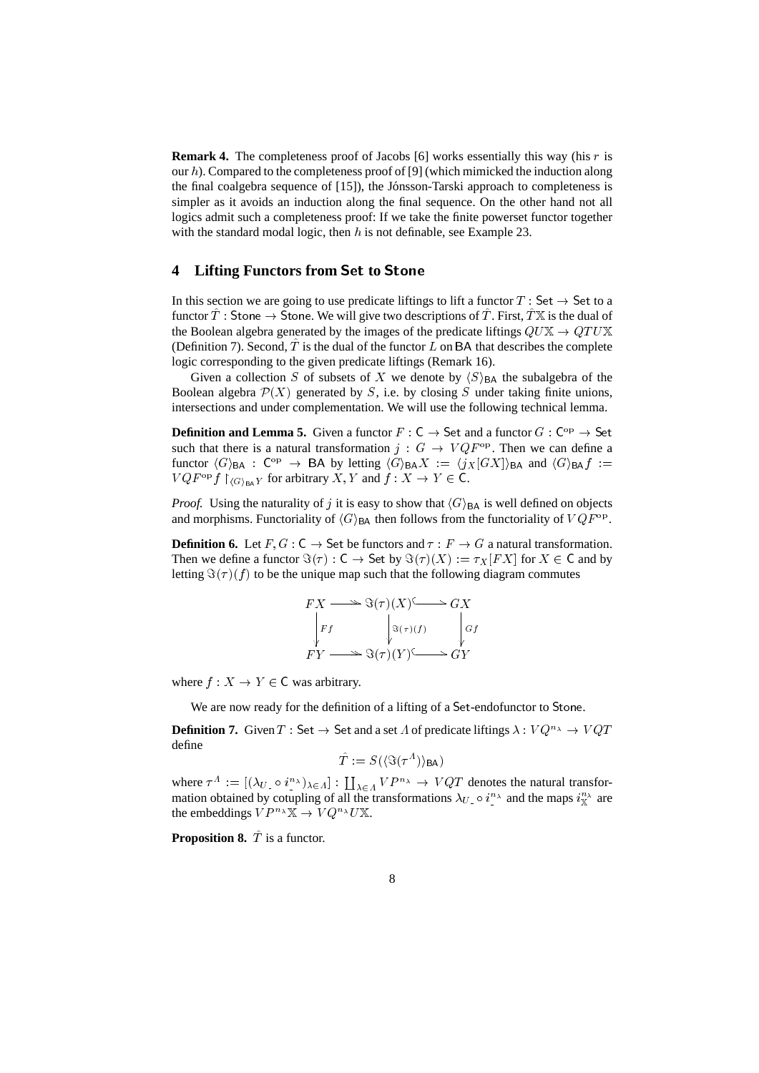**Remark 4.** The completeness proof of Jacobs [6] works essentially this way (his r is our h). Compared to the completeness proof of [9] (which mimicked the induction along the final coalgebra sequence of  $[15]$ ), the Jónsson-Tarski approach to completeness is simpler as it avoids an induction along the final sequence. On the other hand not all logics admit such a completeness proof: If we take the finite powerset functor together with the standard modal logic, then  $h$  is not definable, see Example 23.

### **4 Lifting Functors from** Set **to** Stone

In this section we are going to use predicate liftings to lift a functor T : Set  $\rightarrow$  Set to a functor  $\hat{T}$  : Stone  $\rightarrow$  Stone. We will give two descriptions of  $\hat{T}$ . First,  $\hat{T}X$  is the dual of the Boolean algebra generated by the images of the predicate liftings  $QUX \rightarrow QTUX$ (Definition 7). Second,  $\hat{T}$  is the dual of the functor L on BA that describes the complete logic corresponding to the given predicate liftings (Remark 16).

Given a collection S of subsets of X we denote by  $\langle S \rangle_{BA}$  the subalgebra of the Boolean algebra  $\mathcal{P}(X)$  generated by S, i.e. by closing S under taking finite unions, intersections and under complementation. We will use the following technical lemma.

**Definition and Lemma 5.** Given a functor  $F : C \to Set$  and a functor  $G : C^{op} \to Set$ such that there is a natural transformation  $j : G \to VQF^{\text{op}}$ . Then we can define a functor  $\langle G \rangle_{BA}$  :  $C^{op} \to BA$  by letting  $\langle G \rangle_{BA}X := \langle j_X[GX] \rangle_{BA}$  and  $\langle G \rangle_{BA}f :=$  $VQF^{\text{op}}f \upharpoonright_{\langle G \rangle_{\text{BA}} Y}$  for arbitrary  $X, Y$  and  $f : X \to Y \in \mathsf{C}$ .

*Proof.* Using the naturality of j it is easy to show that  $\langle G \rangle_{BA}$  is well defined on objects and morphisms. Functoriality of  $\langle G \rangle_{BA}$  then follows from the functoriality of  $V QF^{\text{op}}$ .

**Definition 6.** Let  $F, G : C \to$  Set be functors and  $\tau : F \to G$  a natural transformation. Then we define a functor  $\Im(\tau) : \mathsf{C} \to \mathsf{Set}$  by  $\Im(\tau)(X) := \tau_X[FX]$  for  $X \in \mathsf{C}$  and by letting  $\Im(\tau)(f)$  to be the unique map such that the following diagram commutes

$$
FX \longrightarrow^{\infty} \mathfrak{F}(\tau)(X)^{\zeta} \longrightarrow^{\infty} GX
$$
  
\n
$$
\downarrow^{Ff} \qquad \qquad \downarrow^{G(\tau)(f)} \qquad \qquad \downarrow^{Gf}
$$
  
\n
$$
FY \longrightarrow^{\infty} \mathfrak{F}(\tau)(Y)^{\zeta} \longrightarrow^{\infty} GY
$$

where  $f: X \to Y \in \mathsf{C}$  was arbitrary.

We are now ready for the definition of a lifting of a Set-endofunctor to Stone.

**Definition 7.** Given  $T : Set \rightarrow Set$  and a set  $\Lambda$  of predicate liftings  $\lambda : VQ^{n_{\lambda}} \rightarrow VQT$ define

$$
\hat{T} := S(\langle \Im(\tau^A) \rangle_{\text{BA}})
$$

where  $\tau^A := [(\lambda_{U} \circ i^n)_{\lambda \in A}] : \coprod_{\lambda \in A} VP^{n_{\lambda}} \to VQT$  denotes the natural transformation obtained by actualing of all the transformations  $\lambda_{U}$  and the mans  $i^n_{\lambda}$  are mation obtained by cotupling of all the transformations  $\lambda_{U_{-}} \circ i_{-}^{n_{\lambda}}$  and the maps  $i_{\mathbb{X}}^{n_{\lambda}}$  are the embeddings  $VP^{n_{\lambda}} \mathbb{X} \to VQ^{n_{\lambda}} U \mathbb{X}$ .

**Proposition 8.**  $\hat{T}$  is a functor.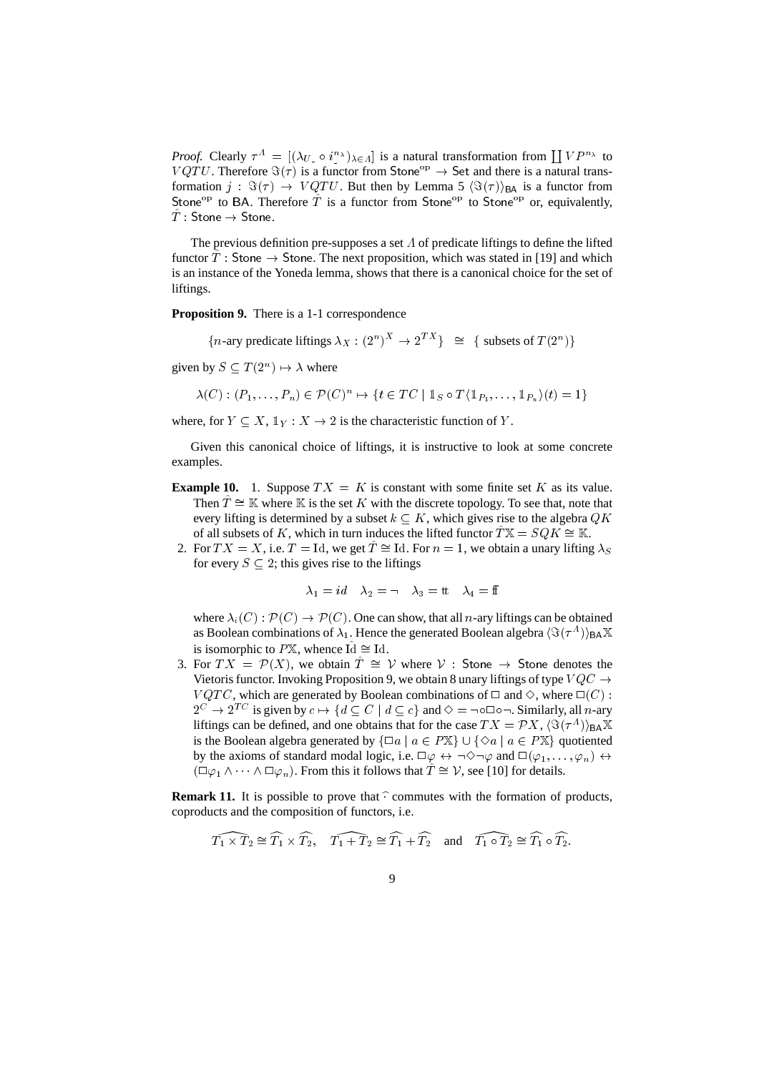*Proof.* Clearly  $\tau^A = [(\lambda_{U_-} \circ i^{n_{\lambda}})_{\lambda \in A}]$  is a natural transformation from  $\coprod VP^{n_{\lambda}}$  to  $VQTU$ . Therefore  $\Im(\tau)$  is a functor from Stone<sup>op</sup>  $\rightarrow$  Set and there is a natural transformation  $j : \Im(\tau) \to VQTU$ . But then by Lemma 5  $\langle \Im(\tau) \rangle_{BA}$  is a functor from Stone<sup>op</sup> to BA. Therefore  $\hat{T}$  is a functor from Stone<sup>op</sup> to Stone<sup>op</sup> or, equivalently,  $\hat{T}$  : Stone  $\rightarrow$  Stone.

The previous definition pre-supposes a set  $\Lambda$  of predicate liftings to define the lifted functor  $\hat{T}$  : Stone  $\rightarrow$  Stone. The next proposition, which was stated in [19] and which is an instance of the Yoneda lemma, shows that there is a canonical choice for the set of liftings.

**Proposition 9.** There is a 1-1 correspondence

 ${n\text{-ary predicate liftings }\lambda_X : (2^n)^X \to 2^{TX}} \cong \{ \text{ subsets of } T(2^n) \}$ 

given by  $S \subset T(2^n) \mapsto \lambda$  where

 $\lambda(C) : (P_1, \ldots, P_n) \in \mathcal{P}(C)^n \mapsto \{t \in TC \mid \mathbb{1}_S \circ T \langle \mathbb{1}_{P_1}, \ldots, \mathbb{1}_{P_n} \rangle (t) = 1\}$ 

where, for  $Y \subseteq X$ ,  $\mathbb{I}_Y : X \to 2$  is the characteristic function of Y.

Given this canonical choice of liftings, it is instructive to look at some concrete examples.

- **Example 10.** 1. Suppose  $TX = K$  is constant with some finite set K as its value. Then  $T \cong \mathbb{K}$  where  $\mathbb{K}$  is the set K with the discrete topology. To see that, note that every lifting is determined by a subset  $k \text{ }\subset K$ , which gives rise to the algebra  $QK$ of all subsets of K, which in turn induces the lifted functor  $\hat{T}X = SQK \cong \mathbb{K}$ .
- 2. For  $TX = X$ , i.e.  $T = \text{Id}$ , we get  $\hat{T} \cong \text{Id}$ . For  $n = 1$ , we obtain a unary lifting  $\lambda_S$ for every  $S \subseteq 2$ ; this gives rise to the liftings

$$
\lambda_1 = id \quad \lambda_2 = \neg \quad \lambda_3 = \text{tt} \quad \lambda_4 = \text{ff}
$$

where  $\lambda_i(C)$ :  $\mathcal{P}(C) \to \mathcal{P}(C)$ . One can show, that all n-ary liftings can be obtained as Boolean combinations of  $\lambda_1$ . Hence the generated Boolean algebra  $\langle \Im(\tau^A) \rangle_{BA} \mathbb{X}$ is isomorphic to  $PX$ , whence  $\hat{Id} \cong Id$ .

3. For  $TX = \mathcal{P}(X)$ , we obtain  $\hat{T} \cong \mathcal{V}$  where  $\mathcal{V}$  : Stone  $\rightarrow$  Stone denotes the Vietoris functor. Invoking Proposition 9, we obtain 8 unary liftings of type  $VQC \rightarrow$  $VQTC$ , which are generated by Boolean combinations of  $\Box$  and  $\diamond$ , where  $\Box(C)$ :  $2^C \rightarrow 2^{TC}$  is given by  $c \mapsto \{d \subseteq C \mid d \subseteq c\}$  and  $\diamond = \neg \circ \Box \circ \neg$ . Similarly, all n-ary liftings can be defined, and one obtains that for the case  $TX = \mathcal{P}X$ ,  $\langle \Im(\tau^A) \rangle_{BA} \mathbb{X}$ is the Boolean algebra generated by  $\{\Box a \mid a \in P\mathbb{X}\}\cup \{\Diamond a \mid a \in P\mathbb{X}\}\$  quotiented by the axioms of standard modal logic, i.e.  $\Box \varphi \leftrightarrow \neg \Diamond \neg \varphi$  and  $\Box(\varphi_1, \ldots, \varphi_n) \leftrightarrow \neg \Diamond$  $(\Box \varphi_1 \land \cdots \land \Box \varphi_n)$ . From this it follows that  $\hat{T} \cong \mathcal{V}$ , see [10] for details.

**Remark 11.** It is possible to prove that  $\hat{ }$  commutes with the formation of products, coproducts and the composition of functors, i.e.

$$
\widehat{T_1 \times T_2} \cong \widehat{T_1} \times \widehat{T_2}, \quad \widehat{T_1 + T_2} \cong \widehat{T_1} + \widehat{T_2} \quad \text{and} \quad \widehat{T_1 \circ T_2} \cong \widehat{T_1} \circ \widehat{T_2}.
$$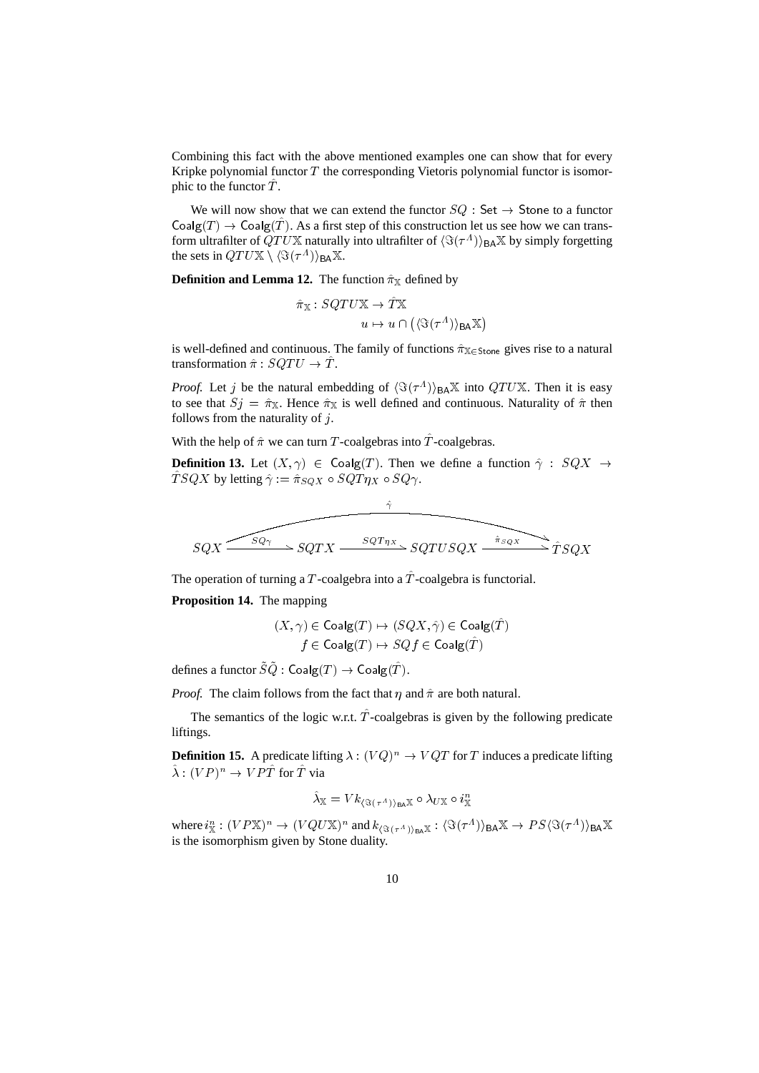Combining this fact with the above mentioned examples one can show that for every Kripke polynomial functor  $T$  the corresponding Vietoris polynomial functor is isomorphic to the functor  $\hat{T}$ .

We will now show that we can extend the functor  $SQ : Set \rightarrow$  Stone to a functor  $\text{Coalg}(T) \to \text{Coalg}(\hat{T})$ . As a first step of this construction let us see how we can transform ultrafilter of  $QTUX$  naturally into ultrafilter of  $\langle \Im(\tau^A) \rangle_{BA} \times$  by simply forgetting the sets in  $QTUX \setminus \langle \Im(\tau^A) \rangle_{BA} \mathbb{X}$ .

**Definition and Lemma 12.** The function  $\hat{\pi}_{\mathbb{X}}$  defined by

$$
\hat{\pi}_{\mathbb{X}} : \mathit{SQTUX} \to \mathit{TX} \n u \mapsto u \cap (\langle \Im(\tau^A) \rangle_{\text{BA}} \mathbb{X})
$$

is well-defined and continuous. The family of functions  $\hat{\pi}_{\mathbb{X}}\in$  gives rise to a natural transformation  $\hat{\pi} : SQTU \rightarrow \hat{T}$ .

*Proof.* Let j be the natural embedding of  $\langle \Im(\tau^A) \rangle_{BA} \times$  into  $QTUX$ . Then it is easy to see that  $S_j = \hat{\pi}_{\mathbb{X}}$ . Hence  $\hat{\pi}_{\mathbb{X}}$  is well defined and continuous. Naturality of  $\hat{\pi}$  then follows from the naturality of  $j$ .

With the help of  $\hat{\pi}$  we can turn T-coalgebras into  $\hat{T}$ -coalgebras.

**Definition 13.** Let  $(X, \gamma) \in \text{Coalg}(T)$ . Then we define a function  $\hat{\gamma} : SQX \rightarrow$  $\hat{T}SQX$  by letting  $\hat{\gamma} := \hat{\pi}_{SOX} \circ SQT\eta_X \circ SQ\gamma$ .

SQX SQ / ^ \* ^SQX /T SQX ^ SQT X SQT <sup>X</sup> /SQT USQX

The operation of turning a T-coalgebra into a  $\hat{T}$ -coalgebra is functorial.

**Proposition 14.** The mapping

$$
(X, \gamma) \in \text{Coalg}(T) \mapsto (SQX, \hat{\gamma}) \in \text{Coalg}(T)
$$

$$
f \in \text{Coalg}(T) \mapsto SQf \in \text{Coalg}(\hat{T})
$$

defines a functor  $\tilde{S}\tilde{Q}$  :  $\mathsf{Coalg}(T) \to \mathsf{Coalg}(\hat{T})$ .

*Proof.* The claim follows from the fact that  $\eta$  and  $\hat{\pi}$  are both natural.

The semantics of the logic w.r.t.  $\hat{T}$ -coalgebras is given by the following predicate liftings.

**Definition 15.** A predicate lifting  $\lambda : (VQ)^n \to VQT$  for T induces a predicate lifting  $\lambda : (VP)^n \to VP\dot{T}$  for  $\dot{T}$  via

$$
\lambda_{{\mathbb X}}=Vk_{\langle\Im(\tau^A)\rangle_{\text{BA}}{\mathbb X}}\circ\lambda_{U{\mathbb X}}\circ i_{{\mathbb X}}^n
$$

where  $i_{\mathbb{X}}^n : (VP\mathbb{X})^n \to (VQU\mathbb{X})^n$  and  $k_{(\Im(\tau^A))_{\text{BA}}\mathbb{X}} : \langle \Im(\tau^A) \rangle_{\text{BA}}\mathbb{X} \to PS \langle \Im(\tau^A) \rangle_{\text{BA}}\mathbb{X}$ is the isomorphism given by Stone duality.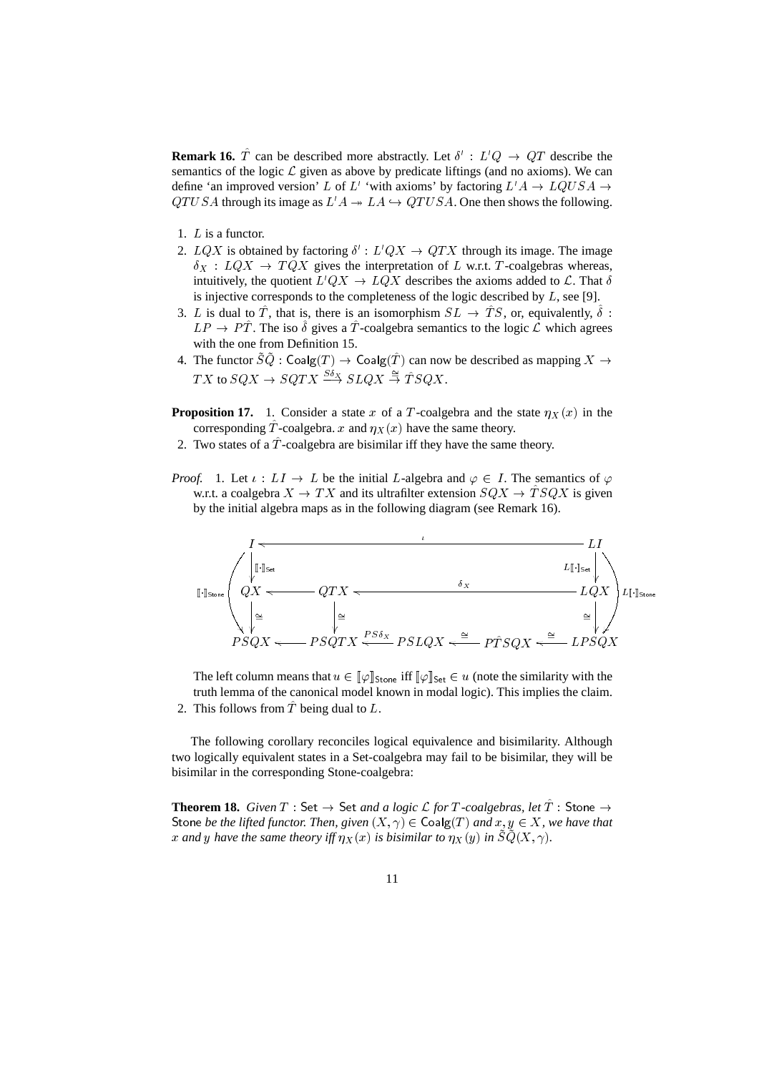**Remark 16.** T can be described more abstractly. Let  $\delta' : L'Q \to QT$  describe the semantics of the logic  $\mathcal L$  given as above by predicate liftings (and no axioms). We can define 'an improved version' L of L' 'with axioms' by factoring  $L'A \rightarrow LQUSA \rightarrow$ <br> $\overline{OCHICA}$  $QTUSA$  through its image as  $L'A \rightarrow LA \hookrightarrow QTUSA$ . One then shows the following.

- 1. <sup>L</sup> is a functor.
- 2.  $LQX$  is obtained by factoring  $\delta' : L'QX \to QTX$  through its image. The image  $\delta_X : LQX \rightarrow TQX$  gives the interpretation of L w.r.t. T-coalgebras whereas, intuitively, the quotient  $L'QX \to LQX$  describes the axioms added to  $\mathcal L$ . That  $\delta$ is injective corresponds to the completeness of the logic described by <sup>L</sup>, see [9].
- 3. L is dual to  $\hat{T}$ , that is, there is an isomorphism  $SL \to \hat{T} S$ , or, equivalently,  $\hat{\delta}$ :  $LP \rightarrow PT$ . The iso  $\hat{\delta}$  gives a  $\hat{T}$ -coalgebra semantics to the logic  $\mathcal{L}$  which agrees with the one from Definition 15.
- 4. The functor  $SQ$  : Coalg $(T) \rightarrow$  Coalg $(T)$  can now be described as mapping  $X \rightarrow$ TX to  $SQX \rightarrow SQTX \stackrel{S\delta X}{\longrightarrow} SLQX \stackrel{\cong}{\rightarrow} \hat{T}SQX$ .
- **Proposition 17.** 1. Consider a state x of a T-coalgebra and the state  $\eta_X(x)$  in the corresponding  $\hat{T}$ -coalgebra. x and  $\eta_X(x)$  have the same theory.
- 2. Two states of a  $\hat{T}$ -coalgebra are bisimilar iff they have the same theory.
- *Proof.* 1. Let  $\iota : LI \to L$  be the initial L-algebra and  $\varphi \in I$ . The semantics of  $\varphi$ w.r.t. a coalgebra  $X \to TX$  and its ultrafilter extension  $SQX \to \hat{T}SQX$  is given by the initial algebra maps as in the following diagram (see Remark 16).

$$
L\left[\begin{array}{c|c}\nI & L \\
\hline\nI_{\text{I}}\text{Set}\n\end{array}\right]
$$
\n
$$
L\left[\begin{array}{c|c}\nI & L \\
\hline\nI_{\text{I}}\text{Set}\n\end{array}\right]
$$
\n
$$
L\left[\begin{array}{c|c}\nI_{\text{Set}} & L \\
\hline\nI_{\text{I}}\text{Set}\n\end{array}\right]
$$
\n
$$
LQX
$$
\n
$$
\begin{array}{c|c}\n\hline\n\text{Set}\n\end{array}\right]
$$
\n
$$
LQX
$$
\n
$$
\begin{array}{c|c}\n\hline\n\text{Set}\n\end{array}\right]
$$
\n
$$
LQX
$$
\n
$$
\begin{array}{c|c}\n\hline\n\text{Set}\n\end{array}\right)
$$
\n
$$
LQX
$$
\n
$$
\begin{array}{c|c}\n\hline\n\text{Set}\n\end{array}\right)
$$
\n
$$
LQX
$$
\n
$$
\begin{array}{c|c}\n\hline\n\text{Set}\n\end{array}\right)
$$
\n
$$
LQX
$$
\n
$$
\begin{array}{c|c}\n\hline\n\text{Set}\n\end{array}
$$
\n
$$
LQX
$$
\n
$$
\begin{array}{c|c}\n\hline\n\text{Set}\n\end{array}
$$

The left column means that  $u \in [\![\varphi]\!]_{\text{Stone}}$  iff  $[\![\varphi]\!]_{\text{Set}} \in u$  (note the similarity with the truth lemma of the canonical model known in modal logic). This implies the claim. 2. This follows from  $\hat{T}$  being dual to L.

The following corollary reconciles logical equivalence and bisimilarity. Although two logically equivalent states in a Set-coalgebra may fail to be bisimilar, they will be bisimilar in the corresponding Stone-coalgebra:

**Theorem 18.** *Given*  $T : Set \rightarrow Set$  *and a logic L for*  $T$ *-coalgebras, let*  $\hat{T}$  : Stone  $\rightarrow$ Stone *be the lifted functor. Then, given*  $(X, \gamma) \in \text{Coalg}(T)$  *and*  $x, y \in X$ *, we have that* x and y have the same theory iff  $\eta_X(x)$  is bisimilar to  $\eta_X(y)$  in  $\tilde{S}\tilde{Q}(X,\gamma)$ .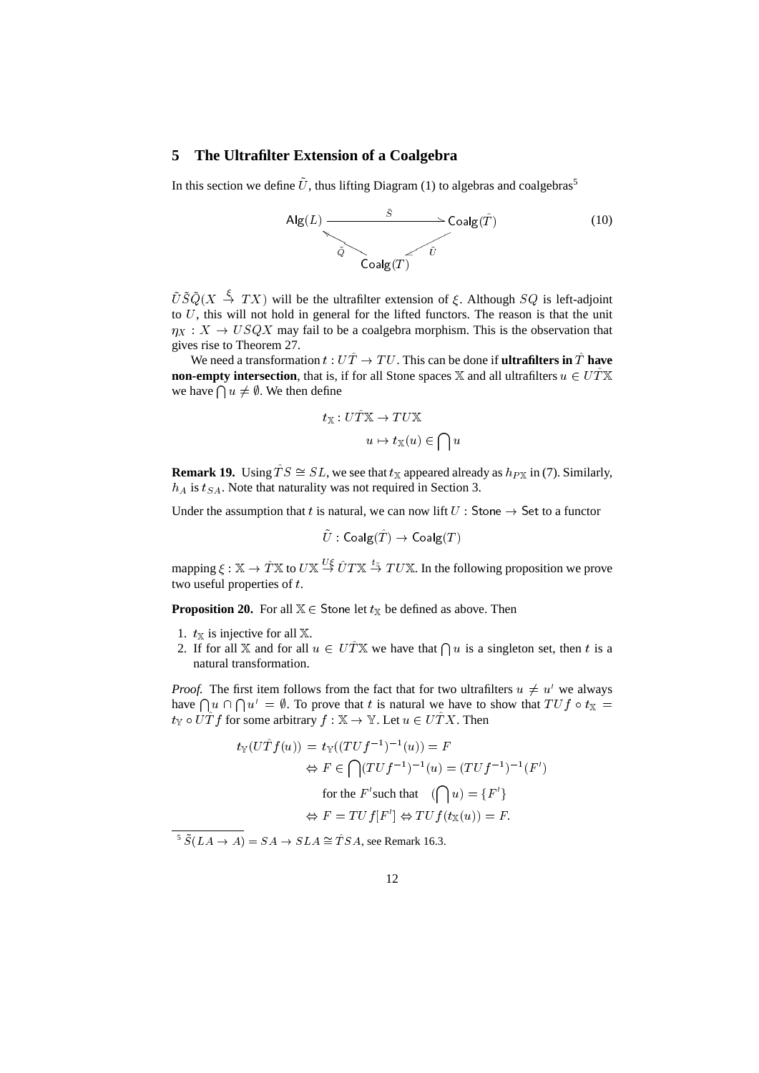### **5 The Ultrafilter Extension of a Coalgebra**

In this section we define  $\tilde{U}$ , thus lifting Diagram (1) to algebras and coalgebras<sup>5</sup>



 $USQ(X \stackrel{\sim}{\rightarrow} TX)$  will be the ultrafilter extension of  $\xi$ . Although  $SQ$  is left-adjoint to  $U$ , this will not hold in general for the lifted functors. The reason is that the unit  $\eta_X : X \to USQX$  may fail to be a coalgebra morphism. This is the observation that gives rise to Theorem 27.

We need a transformation  $t : U\hat{T} \to TU$ . This can be done if **ultrafilters in**  $\hat{T}$  **have non-empty intersection**, that is, if for all Stone spaces X and all ultrafilters  $u \in U\hat{T}X$ we have  $\bigcap u \neq \emptyset$ . We then define

$$
t_{\mathbb{X}}: U\hat{T}\mathbb{X} \to TU\mathbb{X}
$$

$$
u \mapsto t_{\mathbb{X}}(u) \in \bigcap u
$$

**Remark 19.** Using  $\hat{T} S \cong SL$ , we see that  $t_{\mathbb{X}}$  appeared already as  $h_{P\mathbb{X}}$  in (7). Similarly,  $h_A$  is  $t_{SA}$ . Note that naturality was not required in Section 3.

Under the assumption that t is natural, we can now lift  $U$  : Stone  $\rightarrow$  Set to a functor

$$
U : \mathsf{Coalg}(\hat{T}) \to \mathsf{Coalg}(T)
$$

mapping  $\xi : \mathbb{X} \to \hat{T} \mathbb{X}$  to  $U\mathbb{X} \to \hat{U}T\mathbb{X} \to TU\mathbb{X}$ . In the following proposition we prove two useful properties of <sup>t</sup>.

**Proposition 20.** For all  $X \in$  Stone let  $t_X$  be defined as above. Then

- 1.  $t_{\mathbb{X}}$  is injective for all  $\mathbb{X}$ .
- 2. If for all X and for all  $u \in U\hat{T}X$  we have that  $\bigcap u$  is a singleton set, then t is a natural transformation.

*Proof.* The first item follows from the fact that for two ultrafilters  $u \neq u'$  we always have  $\bigcap_{u \in \mathcal{U}} u \cap \bigcap u' = \emptyset$ . To prove that t is natural we have to show that  $T U f \circ t_{\mathbb{X}} =$  $t_{\mathbb{Y}} \circ U \hat{T} f$  for some arbitrary  $f : \mathbb{X} \to \mathbb{Y}$ . Let  $u \in U \hat{T} X$ . Then

$$
t_{\mathbb{Y}}(U\hat{T}f(u)) = t_{\mathbb{Y}}((TUf^{-1})^{-1}(u)) = F
$$
  
\n
$$
\Leftrightarrow F \in \bigcap (TUf^{-1})^{-1}(u) = (TUf^{-1})^{-1}(F')
$$
  
\nfor the F'such that  $(\bigcap u) = \{F'\}$   
\n
$$
\Leftrightarrow F = TUf[F'] \Leftrightarrow TUf(t_{\mathbb{X}}(u)) = F.
$$

 $\overline{\tilde{S}(LA \rightarrow A)} = SA \rightarrow SLA \cong \hat{T}SA$ , see Remark 16.3.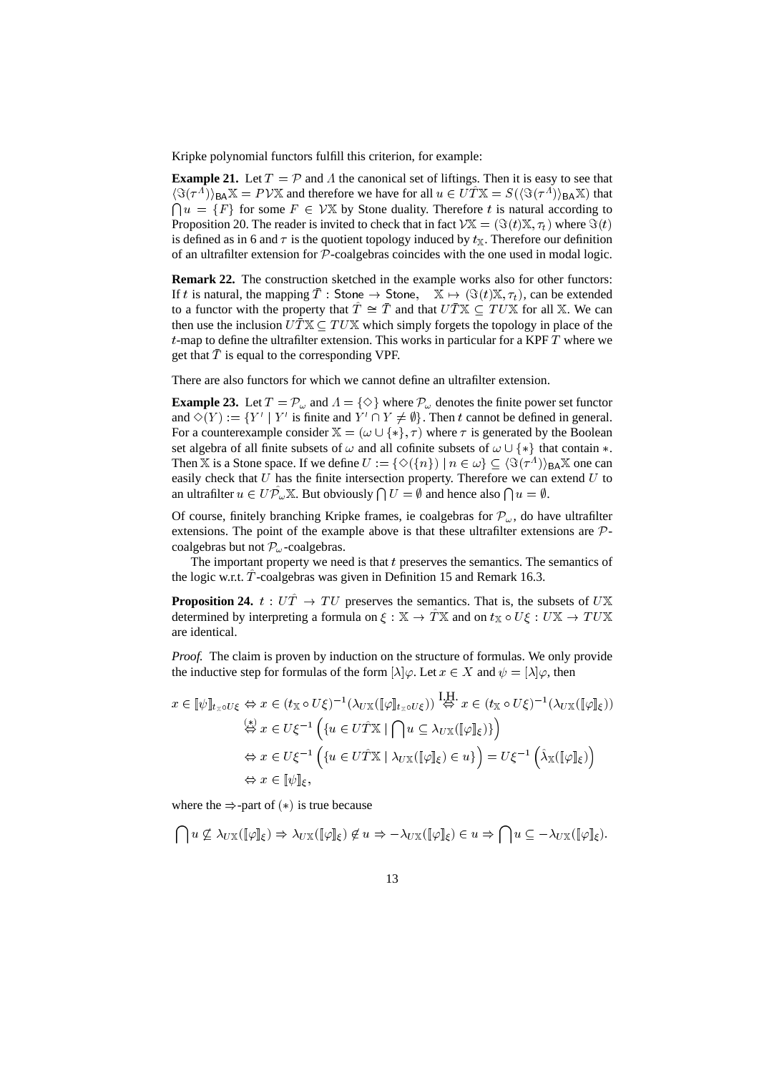Kripke polynomial functors fulfill this criterion, for example:

**Example 21.** Let  $T = \mathcal{P}$  and  $\Lambda$  the canonical set of liftings. Then it is easy to see that  $\langle \Im(\tau^A) \rangle_{BA} \mathbb{X} = PV\mathbb{X}$  and therefore we have for all  $u \in U\ddot{T}\mathbb{X} = S(\langle \Im(\tau^A) \rangle_{BA}\mathbb{X})$  that  $\bigcap u = \{F\}$  for some  $F \in V\mathbb{X}$  by Stone duality. Therefore t is natural according to Proposition 20. The reader is invited to check that in fact  $VX = (\Im(t)X, \tau_t)$  where  $\Im(t)$ is defined as in 6 and  $\tau$  is the quotient topology induced by  $t_{\mathbb{X}}$ . Therefore our definition of an ultrafilter extension for  $P$ -coalgebras coincides with the one used in modal logic.

**Remark 22.** The construction sketched in the example works also for other functors: If t is natural, the mapping  $\overline{T}$  : Stone  $\rightarrow$  Stone,  $\mathbb{X} \mapsto (\Im(t)\mathbb{X}, \tau_t)$ , can be extended to a functor with the property that  $\hat{T} \cong \overline{T}$  and that  $U\overline{T}X \subseteq T U X$  for all X. We can then use the inclusion  $U\bar{T}\mathbb{X} \subseteq TU\mathbb{X}$  which simply forgets the topology in place of the  $t$ -map to define the ultrafilter extension. This works in particular for a KPF  $T$  where we get that  $\overline{T}$  is equal to the corresponding VPF.

There are also functors for which we cannot define an ultrafilter extension.

**Example 23.** Let  $T = \mathcal{P}_{\omega}$  and  $\Lambda = \{\Diamond\}$  where  $\mathcal{P}_{\omega}$  denotes the finite power set functor and  $\Diamond(Y) := \{Y' \mid Y' \text{ is finite and } Y' \cap Y \neq \emptyset\}$ . Then t cannot be defined in general. For a counterexample consider  $\mathbb{X} = (\omega \cup \{*\}, \tau)$  where  $\tau$  is generated by the Boolean set algebra of all finite subsets of  $\omega$  and all cofinite subsets of  $\omega \cup \{*\}$  that contain  $*$ . Then X is a Stone space. If we define  $U := \{ \diamond (\{n\}) \mid n \in \omega \} \subseteq \langle \Im(\tau^A) \rangle_{BA} \times$  one can easily check that  $U$  has the finite intersection property. Therefore we can extend  $U$  to an ultrafilter  $u \in U \hat{P}_\omega \mathbb{X}$ . But obviously  $\bigcap U = \emptyset$  and hence also  $\bigcap u = \emptyset$ .

Of course, finitely branching Kripke frames, ie coalgebras for  $\mathcal{P}_{\omega}$ , do have ultrafilter extensions. The point of the example above is that these ultrafilter extensions are  $\mathcal{P}$ coalgebras but not  $P_\omega$ -coalgebras.

The important property we need is that  $t$  preserves the semantics. The semantics of the logic w.r.t.  $\hat{T}$ -coalgebras was given in Definition 15 and Remark 16.3.

**Proposition 24.**  $t : U\hat{T} \to TU$  preserves the semantics. That is, the subsets of UX determined by interpreting a formula on  $\xi : \mathbb{X} \to \hat{T}\mathbb{X}$  and on  $t_{\mathbb{X}} \circ U\xi : U\mathbb{X} \to TU\mathbb{X}$ are identical.

*Proof.* The claim is proven by induction on the structure of formulas. We only provide the inductive step for formulas of the form  $[\lambda] \varphi$ . Let  $x \in X$  and  $\psi = [\lambda] \varphi$ , then

$$
x \in [\![\psi]\!]_{t_{\mathbb{X}} \circ U\xi} \Leftrightarrow x \in (t_{\mathbb{X}} \circ U\xi)^{-1} (\lambda_{U\mathbb{X}}([\![\varphi]\!]_{t_{\mathbb{X}} \circ U\xi})) \stackrel{\mathbf{I},\mathbf{H}}{\Leftrightarrow} x \in (t_{\mathbb{X}} \circ U\xi)^{-1} (\lambda_{U\mathbb{X}}([\![\varphi]\!]_{\xi}))
$$
  
\n
$$
\stackrel{\langle *,\rangle}{\Leftrightarrow} x \in U\xi^{-1} (\{u \in U\hat{T}\mathbb{X} \mid \bigcap u \subseteq \lambda_{U\mathbb{X}}([\![\varphi]\!]_{\xi})\})
$$
  
\n
$$
\Leftrightarrow x \in U\xi^{-1} (\{u \in U\hat{T}\mathbb{X} \mid \lambda_{U\mathbb{X}}([\![\varphi]\!]_{\xi}) \in u\}) = U\xi^{-1} (\hat{\lambda}_{\mathbb{X}}([\![\varphi]\!]_{\xi}) )
$$
  
\n
$$
\Leftrightarrow x \in [\![\psi]\!]_{\xi},
$$

where the  $\Rightarrow$ -part of  $(*)$  is true because

$$
\bigcap u \not\subseteq \lambda_{U\mathbb{X}}(\llbracket \varphi \rrbracket_{\xi}) \Rightarrow \lambda_{U\mathbb{X}}(\llbracket \varphi \rrbracket_{\xi}) \not\in u \Rightarrow -\lambda_{U\mathbb{X}}(\llbracket \varphi \rrbracket_{\xi}) \in u \Rightarrow \bigcap u \subseteq -\lambda_{U\mathbb{X}}(\llbracket \varphi \rrbracket_{\xi}).
$$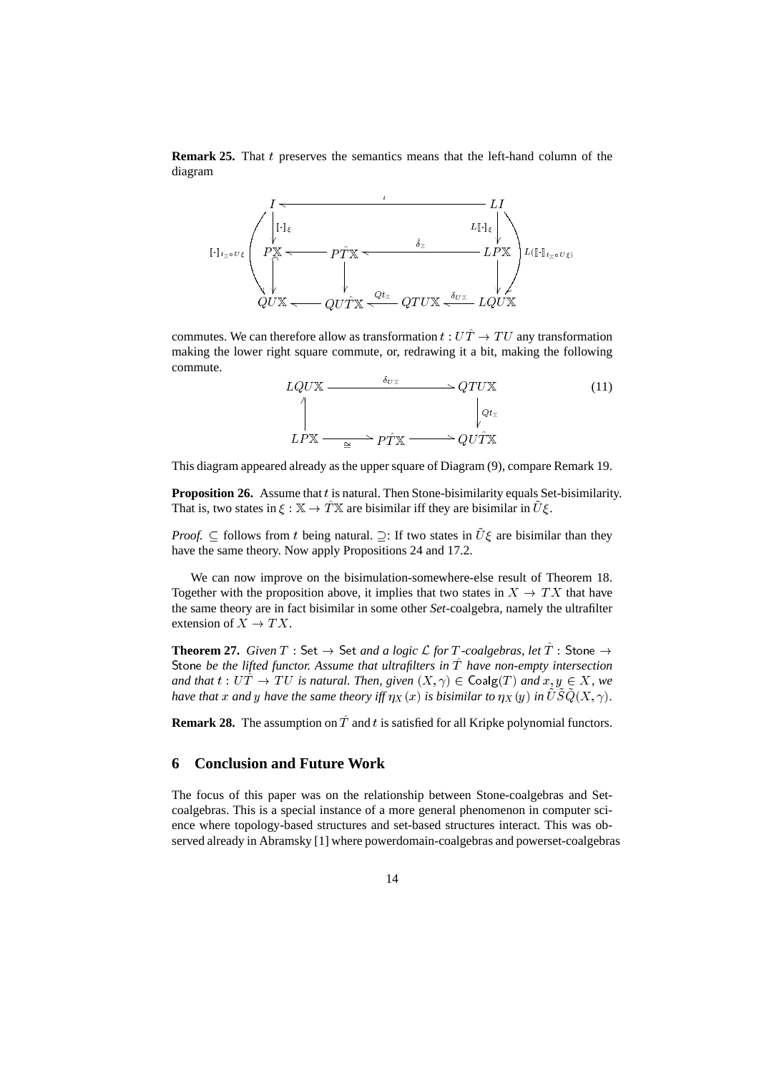**Remark 25.** That t preserves the semantics means that the left-hand column of the diagram



commutes. We can therefore allow as transformation  $t : U\hat{T} \to TU$  any transformation making the lower right square commute, or, redrawing it a bit, making the following commute.

$$
LQUX \longrightarrow \delta_{UX} \longrightarrow QTUX
$$
\n
$$
\downarrow \qquad \qquad |Qt_X|
$$
\n
$$
LPX \longrightarrow \rho \hat{T}X \longrightarrow QU\hat{T}X
$$
\n(11)

This diagram appeared already as the upper square of Diagram (9), compare Remark 19.

**Proposition 26.** Assume that t is natural. Then Stone-bisimilarity equals Set-bisimilarity. That is, two states in  $\xi : \mathbb{X} \to \hat{T} \mathbb{X}$  are bisimilar iff they are bisimilar in  $\tilde{U} \xi$ .

*Proof.*  $\subset$  follows from t being natural.  $\supset$ : If two states in  $\tilde{U}\xi$  are bisimilar than they have the same theory. Now apply Propositions 24 and 17.2.

We can now improve on the bisimulation-somewhere-else result of Theorem 18. Together with the proposition above, it implies that two states in  $X \to TX$  that have the same theory are in fact bisimilar in some other *Set*-coalgebra, namely the ultrafilter extension of  $X \to TX$ .

**Theorem 27.** *Given*  $T : Set \rightarrow Set$  *and a logic*  $\mathcal{L}$  *for*  $T$ *-coalgebras, let*  $\hat{T}$  : Stone  $\rightarrow$ Stone *be the lifted functor. Assume that ultrafilters in*  $\hat{T}$  *have non-empty intersection and that*  $t: U\hat{T} \to TU$  *is natural. Then, given*  $(X, \gamma) \in \text{Coalg}(T)$  *and*  $x, y \in X$ *, we have that* x and y have the same theory iff  $\eta_X(x)$  is bisimilar to  $\eta_X(y)$  in  $\tilde{U}\tilde{S}\tilde{Q}(X,\gamma)$ .

**Remark 28.** The assumption on  $\hat{T}$  and t is satisfied for all Kripke polynomial functors.

### **6 Conclusion and Future Work**

The focus of this paper was on the relationship between Stone-coalgebras and Setcoalgebras. This is a special instance of a more general phenomenon in computer science where topology-based structures and set-based structures interact. This was observed already in Abramsky [1] where powerdomain-coalgebras and powerset-coalgebras